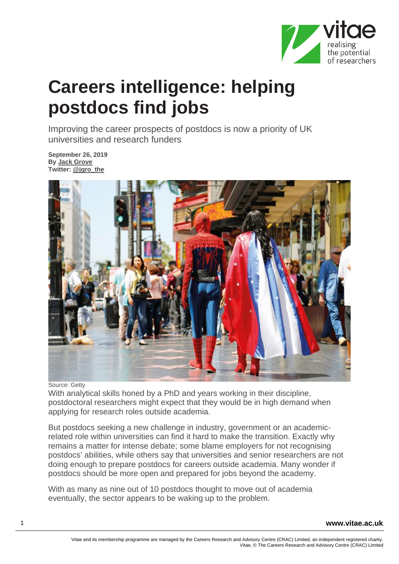

## **Careers intelligence: helping postdocs find jobs**

Improving the career prospects of postdocs is now a priority of UK universities and research funders

**September 26, 2019 By [Jack Grove](https://www.timeshighereducation.com/content/jack-grove-0) Twitter: [@jgro\\_the](https://twitter.com/jgro_the)**



## Source: Getty

With analytical skills honed by a PhD and years working in their discipline, postdoctoral researchers might expect that they would be in high demand when applying for research roles outside academia.

But postdocs seeking a new challenge in industry, government or an academicrelated role within universities can find it hard to make the transition. Exactly why remains a matter for intense debate; some blame employers for not recognising postdocs' abilities, while others say that universities and senior researchers are not doing enough to prepare postdocs for careers outside academia. Many wonder if postdocs should be more open and prepared for jobs beyond the academy.

With as many as nine out of 10 postdocs thought to move out of academia eventually, the sector appears to be waking up to the problem.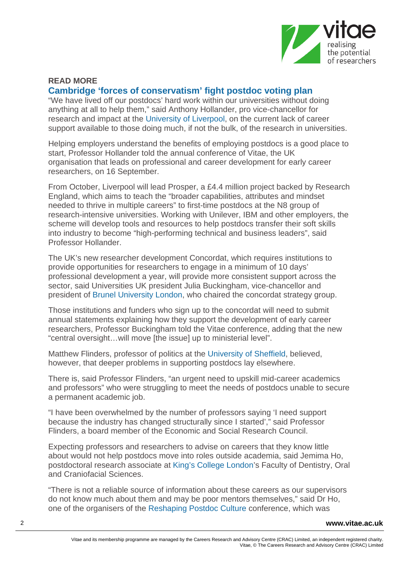

## **READ MORE [Cambridge 'forces of conservatism' fight postdoc voting plan](https://www.timeshighereducation.com/news/cambridge-forces-conservatism-fight-postdoc-voting-plan)**

"We have lived off our postdocs' hard work within our universities without doing anything at all to help them," said Anthony Hollander, pro vice-chancellor for research and impact at the [University of Liverpool,](https://www.timeshighereducation.com/world-university-rankings/university-liverpool) on the current lack of career support available to those doing much, if not the bulk, of the research in universities.

Helping employers understand the benefits of employing postdocs is a good place to start, Professor Hollander told the annual conference of Vitae, the UK organisation that leads on professional and career development for early career researchers, on 16 September.

From October, Liverpool will lead Prosper, a £4.4 million project backed by Research England, which aims to teach the "broader capabilities, attributes and mindset needed to thrive in multiple careers" to first-time postdocs at the N8 group of research-intensive universities. Working with Unilever, IBM and other employers, the scheme will develop tools and resources to help postdocs transfer their soft skills into industry to become "high-performing technical and business leaders", said Professor Hollander.

The UK's new researcher development Concordat, which requires institutions to provide opportunities for researchers to engage in a minimum of 10 days' professional development a year, will provide more consistent support across the sector, said Universities UK president Julia Buckingham, vice-chancellor and president of [Brunel University London,](https://www.timeshighereducation.com/world-university-rankings/brunel-university-london) who chaired the concordat strategy group.

Those institutions and funders who sign up to the concordat will need to submit annual statements explaining how they support the development of early career researchers, Professor Buckingham told the Vitae conference, adding that the new "central oversight…will move [the issue] up to ministerial level".

Matthew Flinders, professor of politics at the [University of Sheffield,](https://www.timeshighereducation.com/world-university-rankings/university-sheffield) believed, however, that deeper problems in supporting postdocs lay elsewhere.

There is, said Professor Flinders, "an urgent need to upskill mid-career academics and professors" who were struggling to meet the needs of postdocs unable to secure a permanent academic job.

"I have been overwhelmed by the number of professors saying 'I need support because the industry has changed structurally since I started'," said Professor Flinders, a board member of the Economic and Social Research Council.

Expecting professors and researchers to advise on careers that they know little about would not help postdocs move into roles outside academia, said Jemima Ho, postdoctoral research associate at [King's College London'](https://www.timeshighereducation.com/world-university-rankings/kings-college-london)s Faculty of Dentistry, Oral and Craniofacial Sciences.

"There is not a reliable source of information about these careers as our supervisors do not know much about them and may be poor mentors themselves," said Dr Ho, one of the organisers of the [Reshaping Postdoc Culture](http://ukpostdocs.toothycat.net/index.html) conference, which was

2 **www.vitae.ac.uk**